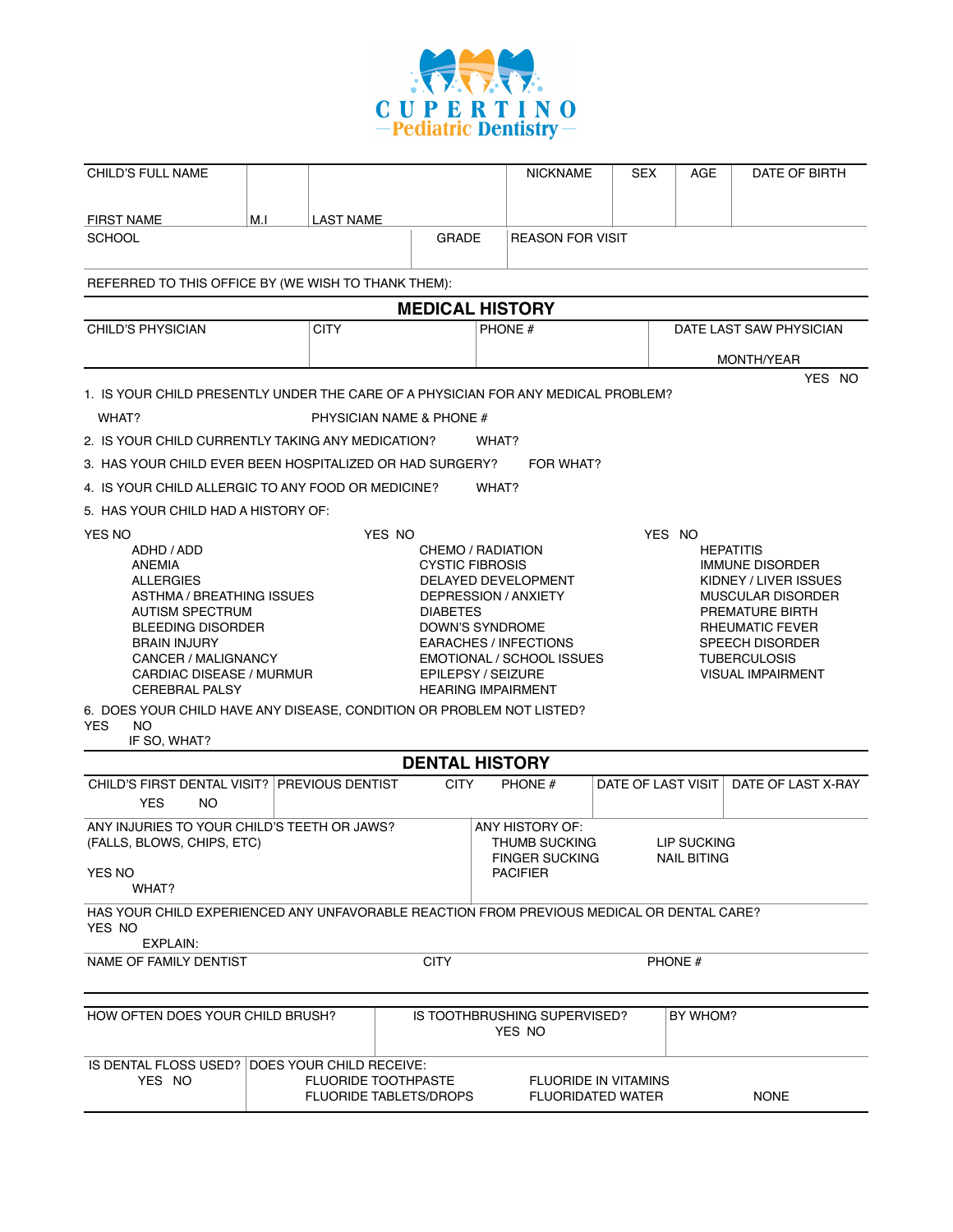

| <b>CHILD'S FULL NAME</b>                                                                                                                                                                                                                                                                                                                    |     |                                                      |                                                                                           | <b>NICKNAME</b>                                                                                                                              | <b>SEX</b> | AGE                                        | DATE OF BIRTH                                                                                                                                                                    |
|---------------------------------------------------------------------------------------------------------------------------------------------------------------------------------------------------------------------------------------------------------------------------------------------------------------------------------------------|-----|------------------------------------------------------|-------------------------------------------------------------------------------------------|----------------------------------------------------------------------------------------------------------------------------------------------|------------|--------------------------------------------|----------------------------------------------------------------------------------------------------------------------------------------------------------------------------------|
| <b>FIRST NAME</b>                                                                                                                                                                                                                                                                                                                           | M.I | <b>LAST NAME</b>                                     |                                                                                           |                                                                                                                                              |            |                                            |                                                                                                                                                                                  |
| <b>SCHOOL</b>                                                                                                                                                                                                                                                                                                                               |     |                                                      | GRADE                                                                                     | <b>REASON FOR VISIT</b>                                                                                                                      |            |                                            |                                                                                                                                                                                  |
| REFERRED TO THIS OFFICE BY (WE WISH TO THANK THEM):                                                                                                                                                                                                                                                                                         |     |                                                      |                                                                                           |                                                                                                                                              |            |                                            |                                                                                                                                                                                  |
|                                                                                                                                                                                                                                                                                                                                             |     |                                                      |                                                                                           | <b>MEDICAL HISTORY</b>                                                                                                                       |            |                                            |                                                                                                                                                                                  |
| <b>CHILD'S PHYSICIAN</b>                                                                                                                                                                                                                                                                                                                    |     | <b>CITY</b>                                          |                                                                                           | PHONE #                                                                                                                                      |            |                                            | DATE LAST SAW PHYSICIAN                                                                                                                                                          |
|                                                                                                                                                                                                                                                                                                                                             |     |                                                      |                                                                                           |                                                                                                                                              |            |                                            | <b>MONTH/YEAR</b>                                                                                                                                                                |
| 1. IS YOUR CHILD PRESENTLY UNDER THE CARE OF A PHYSICIAN FOR ANY MEDICAL PROBLEM?                                                                                                                                                                                                                                                           |     |                                                      |                                                                                           |                                                                                                                                              |            |                                            | YES NO<br>$\perp$                                                                                                                                                                |
| WHAT?                                                                                                                                                                                                                                                                                                                                       |     | PHYSICIAN NAME & PHONE #                             |                                                                                           |                                                                                                                                              |            |                                            |                                                                                                                                                                                  |
| 2. IS YOUR CHILD CURRENTLY TAKING ANY MEDICATION?                                                                                                                                                                                                                                                                                           |     |                                                      |                                                                                           | WHAT?                                                                                                                                        |            |                                            | ΙI                                                                                                                                                                               |
| 3. HAS YOUR CHILD EVER BEEN HOSPITALIZED OR HAD SURGERY?                                                                                                                                                                                                                                                                                    |     |                                                      |                                                                                           | FOR WHAT?                                                                                                                                    |            |                                            | П                                                                                                                                                                                |
| 4. IS YOUR CHILD ALLERGIC TO ANY FOOD OR MEDICINE?                                                                                                                                                                                                                                                                                          |     |                                                      |                                                                                           | WHAT?                                                                                                                                        |            |                                            | П                                                                                                                                                                                |
| 5. HAS YOUR CHILD HAD A HISTORY OF:                                                                                                                                                                                                                                                                                                         |     |                                                      |                                                                                           |                                                                                                                                              |            |                                            |                                                                                                                                                                                  |
| <b>ANEMIA</b><br><b>ALLERGIES</b><br>TASTHMA / BREATHING ISSUES<br>$\sqcap$ AUTISM SPECTRUM<br><b>BLEEDING DISORDER</b><br><b>BRAIN INJURY</b><br>CANCER / MALIGNANCY<br>CARDIAC DISEASE / MURMUR<br><b>CEREBRAL PALSY</b><br>6. DOES YOUR CHILD HAVE ANY DISEASE, CONDITION OR PROBLEM NOT LISTED?<br>YES $\Box$ NO $\Box$<br>IF SO, WHAT? |     |                                                      | <b>CYSTIC FIBROSIS</b><br><b>DIABETES</b><br>DOWN'S SYNDROME<br><b>EPILEPSY / SEIZURE</b> | DELAYED DEVELOPMENT<br>DEPRESSION / ANXIETY<br><b>EARACHES / INFECTIONS</b><br><b>EMOTIONAL / SCHOOL ISSUES</b><br><b>HEARING IMPAIRMENT</b> |            |                                            | <b>IMMUNE DISORDER</b><br>KIDNEY / LIVER ISSUES<br>MUSCULAR DISORDER<br>PREMATURE BIRTH<br>RHEUMATIC FEVER<br>SPEECH DISORDER<br><b>TUBERCULOSIS</b><br><b>VISUAL IMPAIRMENT</b> |
|                                                                                                                                                                                                                                                                                                                                             |     |                                                      | <b>DENTAL HISTORY</b>                                                                     |                                                                                                                                              |            |                                            |                                                                                                                                                                                  |
| CHILD'S FIRST DENTAL VISIT? PREVIOUS DENTIST<br>YES $\Box$ NO $\Box$                                                                                                                                                                                                                                                                        |     |                                                      | <b>CITY</b>                                                                               | PHONE #                                                                                                                                      |            | DATE OF LAST VISIT                         | DATE OF LAST X-RAY                                                                                                                                                               |
| ANY INJURIES TO YOUR CHILD'S TEETH OR JAWS?<br>(FALLS, BLOWS, CHIPS, ETC)<br><b>YES NO</b><br>$\Box$ WHAT?                                                                                                                                                                                                                                  |     |                                                      |                                                                                           | ANY HISTORY OF:<br>THUMB SUCKING<br>FINGER SUCKING O<br><b>PACIFIER</b>                                                                      | ப          | LIP SUCKING $\Box$<br>NAIL BITING <b>D</b> |                                                                                                                                                                                  |
| HAS YOUR CHILD EXPERIENCED ANY UNFAVORABLE REACTION FROM PREVIOUS MEDICAL OR DENTAL CARE?<br>YES NO<br>$\Box$ EXPLAIN:                                                                                                                                                                                                                      |     |                                                      |                                                                                           |                                                                                                                                              |            |                                            |                                                                                                                                                                                  |
| NAME OF FAMILY DENTIST                                                                                                                                                                                                                                                                                                                      |     |                                                      | <b>CITY</b>                                                                               |                                                                                                                                              |            | PHONE #                                    |                                                                                                                                                                                  |
| HOW OFTEN DOES YOUR CHILD BRUSH?                                                                                                                                                                                                                                                                                                            |     |                                                      |                                                                                           | IS TOOTHBRUSHING SUPERVISED?<br>YES NO<br>$\mathbf{I}$                                                                                       |            | BY WHOM?                                   |                                                                                                                                                                                  |
| IS DENTAL FLOSS USED?   DOES YOUR CHILD RECEIVE:<br>YES NO<br>$\Box$<br>$\Box$                                                                                                                                                                                                                                                              |     | $\Box$ FLUORIDE TOOTHPASTE<br>FLUORIDE TABLETS/DROPS |                                                                                           | $\Box$ FLUORIDE IN VITAMINS<br>$\Box$ FLUORIDATED WATER                                                                                      |            |                                            | $\Box$ NONE                                                                                                                                                                      |